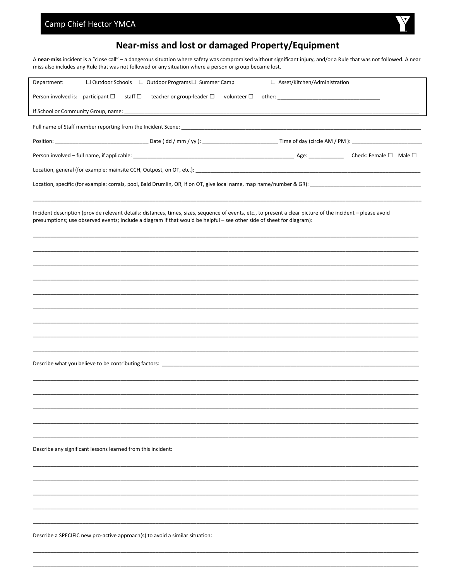## Camp Chief Hector YMCA



## Near-miss and lost or damaged Property/Equipment

A near-miss incident is a "close call" - a dangerous situation where safety was compromised without significant injury, and/or a Rule that was not followed. A near miss also includes any Rule that was not followed or any situation where a person or group became lost.

| Department:                                                                                                                                                                                                                                                                           | $\Box$ Outdoor Schools $\Box$ Outdoor Programs $\Box$ Summer Camp |                     | □ Asset/Kitchen/Administration |  |  |
|---------------------------------------------------------------------------------------------------------------------------------------------------------------------------------------------------------------------------------------------------------------------------------------|-------------------------------------------------------------------|---------------------|--------------------------------|--|--|
| Person involved is: participant $\square$<br>staff $\Box$                                                                                                                                                                                                                             | teacher or group-leader $\Box$                                    | volunteer $\square$ |                                |  |  |
|                                                                                                                                                                                                                                                                                       |                                                                   |                     |                                |  |  |
|                                                                                                                                                                                                                                                                                       |                                                                   |                     |                                |  |  |
|                                                                                                                                                                                                                                                                                       |                                                                   |                     |                                |  |  |
|                                                                                                                                                                                                                                                                                       |                                                                   |                     |                                |  |  |
| Location, general (for example: mainsite CCH, Outpost, on OT, etc.): [19] Decrease and process are access to the content of the content of the content of the content of the content of the content of the content of the cont                                                        |                                                                   |                     |                                |  |  |
|                                                                                                                                                                                                                                                                                       |                                                                   |                     |                                |  |  |
|                                                                                                                                                                                                                                                                                       |                                                                   |                     |                                |  |  |
| Incident description (provide relevant details: distances, times, sizes, sequence of events, etc., to present a clear picture of the incident - please avoid<br>presumptions; use observed events; Include a diagram if that would be helpful - see other side of sheet for diagram): |                                                                   |                     |                                |  |  |
|                                                                                                                                                                                                                                                                                       |                                                                   |                     |                                |  |  |
|                                                                                                                                                                                                                                                                                       |                                                                   |                     |                                |  |  |
|                                                                                                                                                                                                                                                                                       |                                                                   |                     |                                |  |  |
|                                                                                                                                                                                                                                                                                       |                                                                   |                     |                                |  |  |
|                                                                                                                                                                                                                                                                                       |                                                                   |                     |                                |  |  |
|                                                                                                                                                                                                                                                                                       |                                                                   |                     |                                |  |  |
|                                                                                                                                                                                                                                                                                       |                                                                   |                     |                                |  |  |
|                                                                                                                                                                                                                                                                                       |                                                                   |                     |                                |  |  |
|                                                                                                                                                                                                                                                                                       |                                                                   |                     |                                |  |  |
| Describe what you believe to be contributing factors: Description of the state of the state of the state of the state of the state of the state of the state of the state of the state of the state of the state of the state                                                         |                                                                   |                     |                                |  |  |
|                                                                                                                                                                                                                                                                                       |                                                                   |                     |                                |  |  |
|                                                                                                                                                                                                                                                                                       |                                                                   |                     |                                |  |  |
|                                                                                                                                                                                                                                                                                       |                                                                   |                     |                                |  |  |
|                                                                                                                                                                                                                                                                                       |                                                                   |                     |                                |  |  |
|                                                                                                                                                                                                                                                                                       |                                                                   |                     |                                |  |  |
| Describe any significant lessons learned from this incident:                                                                                                                                                                                                                          |                                                                   |                     |                                |  |  |
|                                                                                                                                                                                                                                                                                       |                                                                   |                     |                                |  |  |
|                                                                                                                                                                                                                                                                                       |                                                                   |                     |                                |  |  |
|                                                                                                                                                                                                                                                                                       |                                                                   |                     |                                |  |  |
|                                                                                                                                                                                                                                                                                       |                                                                   |                     |                                |  |  |
|                                                                                                                                                                                                                                                                                       |                                                                   |                     |                                |  |  |
| Describe a SPECIFIC new pro-active approach(s) to avoid a similar situation:                                                                                                                                                                                                          |                                                                   |                     |                                |  |  |